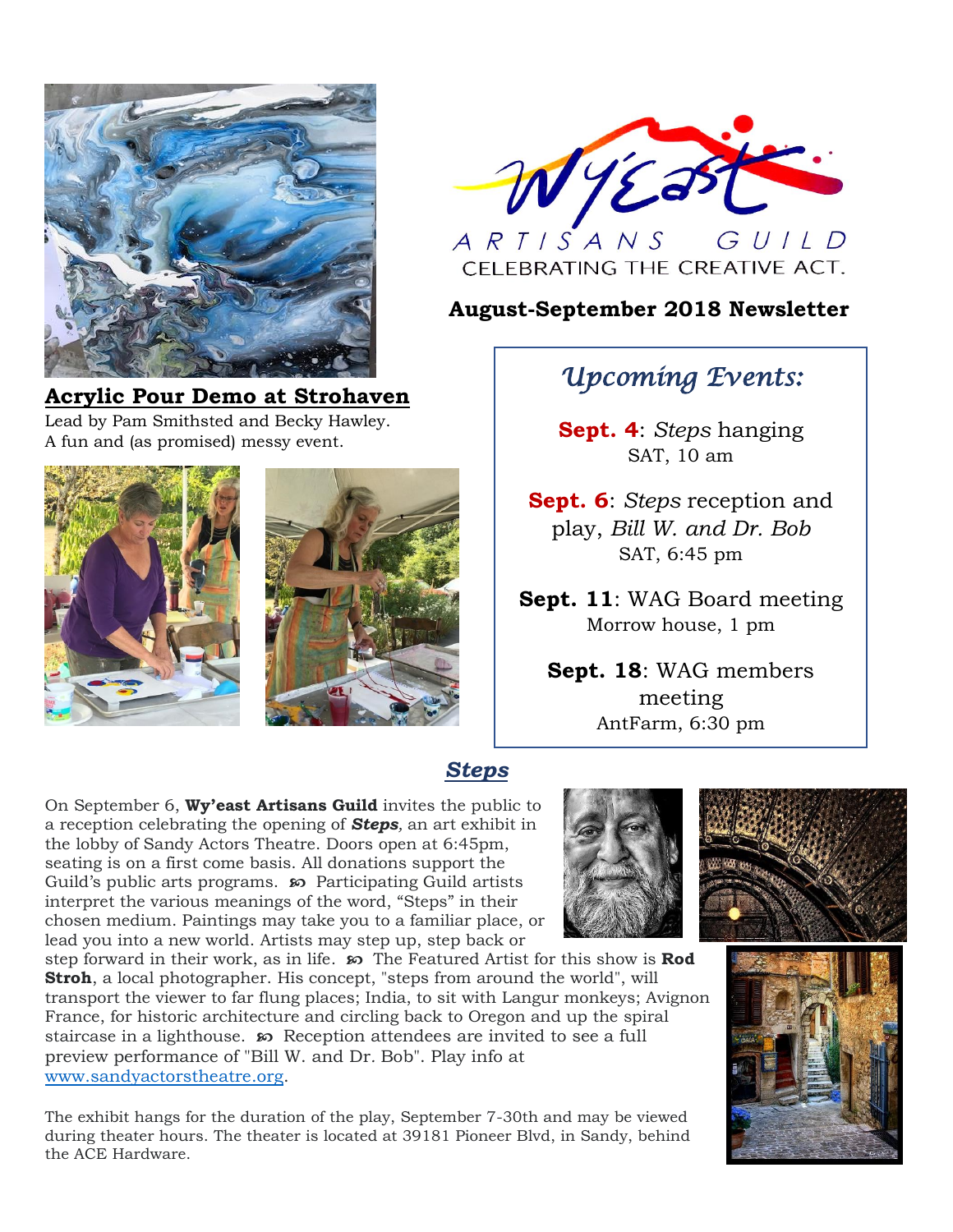

## **Acrylic Pour Demo at Strohaven**

Lead by Pam Smithsted and Becky Hawley. A fun and (as promised) messy event.





## **August-September 2018 Newsletter**

# *Upcoming Events:*

**Sept. 4**: *Steps* hanging SAT, 10 am

**Sept. 6**: *Steps* reception and play, *Bill W. and Dr. Bob* SAT, 6:45 pm

**Sept. 11**: WAG Board meeting Morrow house, 1 pm

**Sept. 18**: WAG members meeting AntFarm, 6:30 pm

## *Steps*

On September 6, **Wy'east Artisans Guild** invites the public to a reception celebrating the opening of *Steps,* an art exhibit in the lobby of Sandy Actors Theatre. Doors open at 6:45pm, seating is on a first come basis. All donations support the Guild's public arts programs. **<sub>so</sub>** Participating Guild artists interpret the various meanings of the word, "Steps" in their chosen medium. Paintings may take you to a familiar place, or lead you into a new world. Artists may step up, step back or

step forward in their work, as in life.  $\infty$  The Featured Artist for this show is **Rod Stroh**, a local photographer. His concept, "steps from around the world", will transport the viewer to far flung places; India, to sit with Langur monkeys; Avignon France, for historic architecture and circling back to Oregon and up the spiral staircase in a lighthouse. Reception attendees are invited to see a full preview performance of "Bill W. and Dr*.* Bob". Play info at [www.sandyactorstheatre.org.](http://www.sandyactorstheatre.org/)

The exhibit hangs for the duration of the play, September 7-30th and may be viewed during theater hours. The theater is located at 39181 Pioneer Blvd, in Sandy, behind the ACE Hardware.





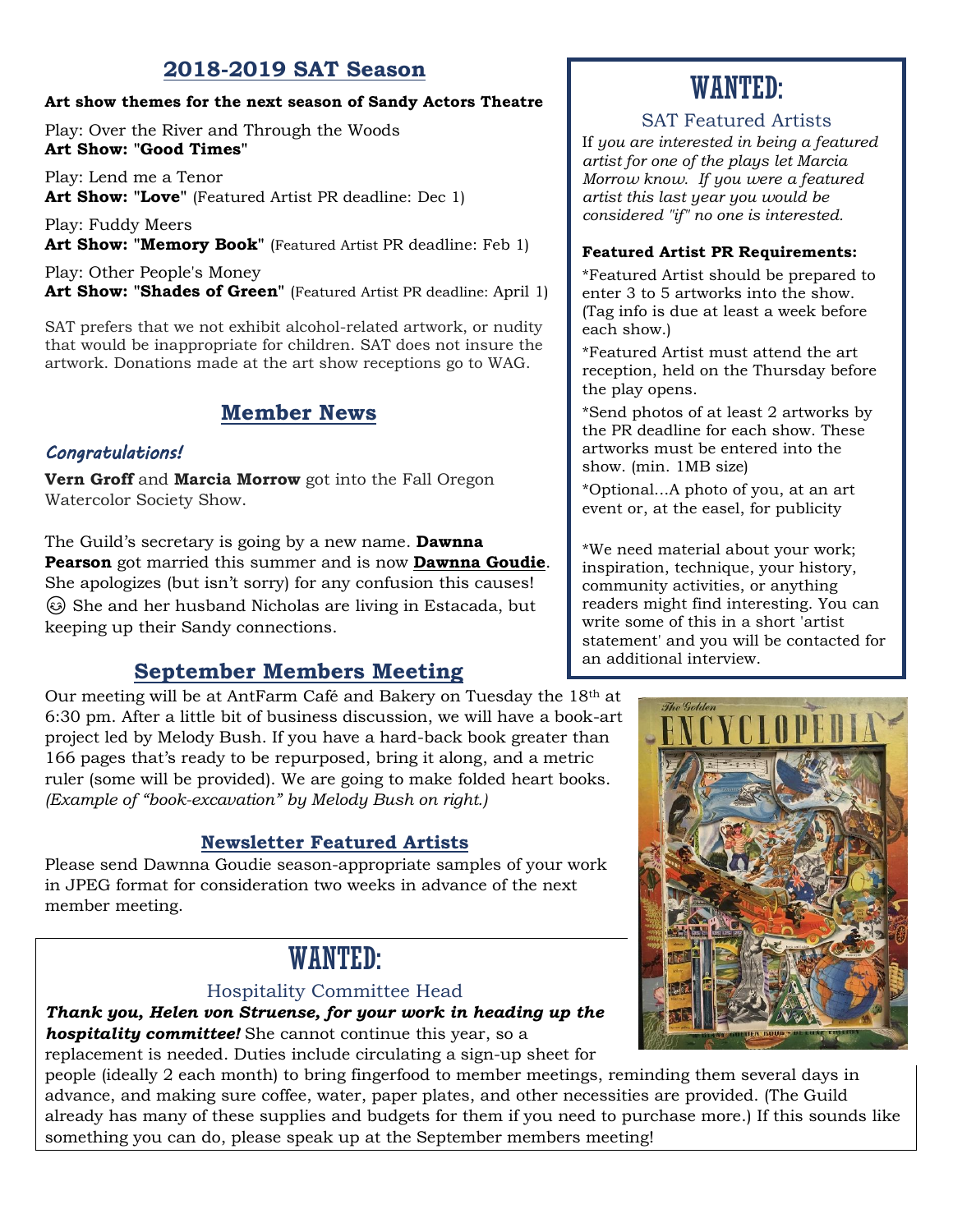## **2018-2019 SAT Season**

#### **Art show themes for the next season of Sandy Actors Theatre**

Play: Over the River and Through the Woods **Art Show: "Good Times"**

Play: Lend me a Tenor **Art Show: "Love"** (Featured Artist PR deadline: Dec 1)

Play: Fuddy Meers Art Show: "Memory Book" (Featured Artist PR deadline: Feb 1)

Play: Other People's Money Art Show: "Shades of Green" (Featured Artist PR deadline: April 1)

SAT prefers that we not exhibit alcohol-related artwork, or nudity that would be inappropriate for children. SAT does not insure the artwork. Donations made at the art show receptions go to WAG.

## **Member News**

#### *Congratulations!*

**Vern Groff** and **Marcia Morrow** got into the Fall Oregon Watercolor Society Show.

The Guild's secretary is going by a new name. **Dawnna Pearson** got married this summer and is now **Dawnna Goudie**. She apologizes (but isn't sorry) for any confusion this causes! She and her husband Nicholas are living in Estacada, but keeping up their Sandy connections.

## **September Members Meeting**

Our meeting will be at AntFarm Café and Bakery on Tuesday the 18th at 6:30 pm. After a little bit of business discussion, we will have a book-art project led by Melody Bush. If you have a hard-back book greater than 166 pages that's ready to be repurposed, bring it along, and a metric ruler (some will be provided). We are going to make folded heart books. *(Example of "book-excavation" by Melody Bush on right.)*

## **Newsletter Featured Artists**

Please send Dawnna Goudie season-appropriate samples of your work in JPEG format for consideration two weeks in advance of the next member meeting.

## WANTED:

#### Hospitality Committee Head

*Thank you, Helen von Struense, for your work in heading up the hospitality committee!* She cannot continue this year, so a

replacement is needed. Duties include circulating a sign-up sheet for

people (ideally 2 each month) to bring fingerfood to member meetings, reminding them several days in advance, and making sure coffee, water, paper plates, and other necessities are provided. (The Guild already has many of these supplies and budgets for them if you need to purchase more.) If this sounds like something you can do, please speak up at the September members meeting!

# WANTED:

#### SAT Featured Artists

If *you are interested in being a featured artist for one of the plays let Marcia Morrow know. If you were a featured artist this last year you would be considered "if" no one is interested.*

#### **Featured Artist PR Requirements:**

\*Featured Artist should be prepared to enter 3 to 5 artworks into the show. (Tag info is due at least a week before each show.)

\*Featured Artist must attend the art reception, held on the Thursday before the play opens.

\*Send photos of at least 2 artworks by the PR deadline for each show. These artworks must be entered into the show. (min. 1MB size)

\*Optional...A photo of you, at an art event or, at the easel, for publicity

\*We need material about your work; inspiration, technique, your history, community activities, or anything readers might find interesting. You can write some of this in a short 'artist statement' and you will be contacted for an additional interview.